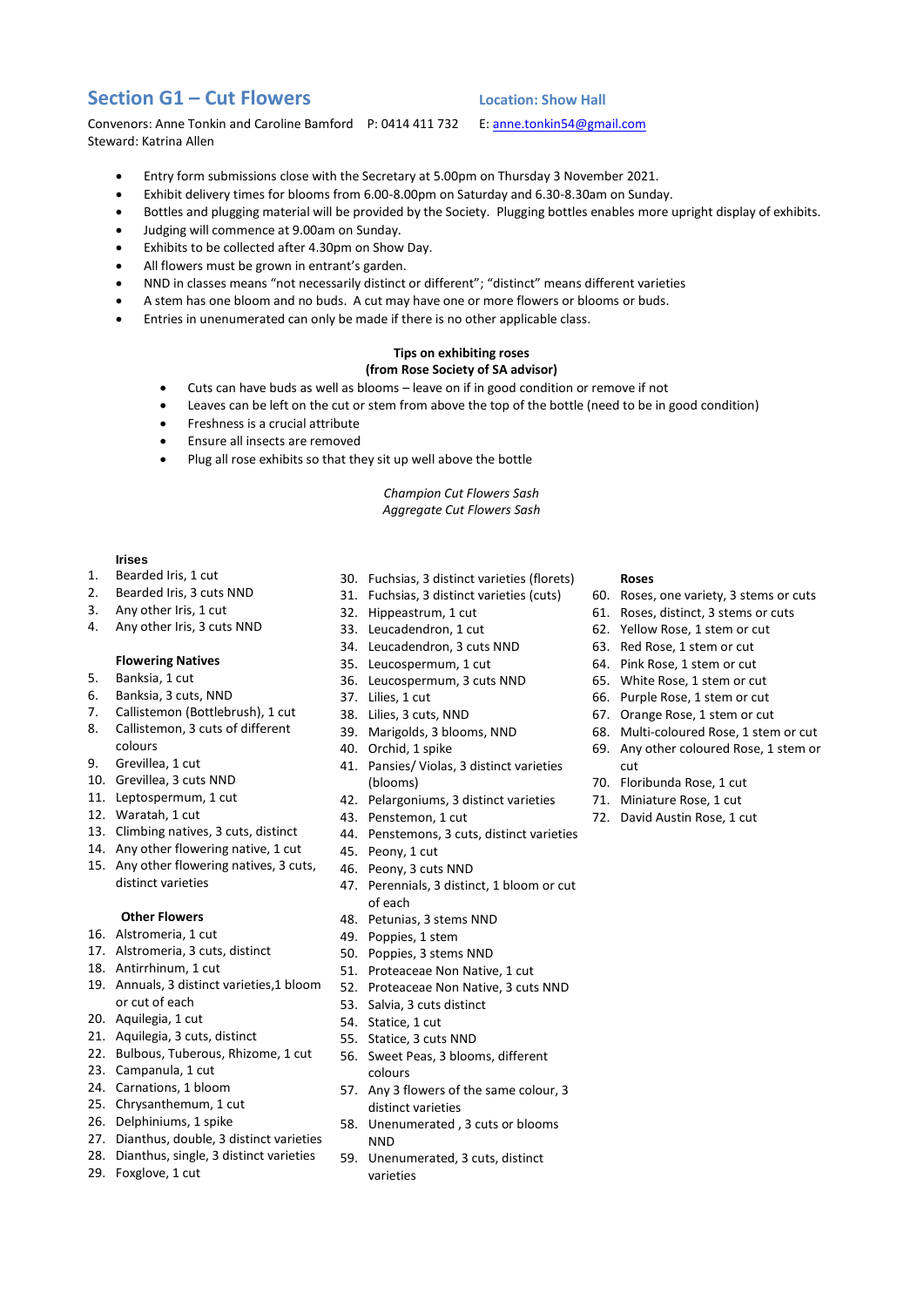# **Section G1 – Cut Flowers Location: Show Hall**

Convenors: Anne Tonkin and Caroline Bamford P: 0414 411 732 E[: anne.tonkin54@gmail.com](mailto:anne.tonkin54@gmail.com) Steward: Katrina Allen

- Entry form submissions close with the Secretary at 5.00pm on Thursday 3 November 2021.
- Exhibit delivery times for blooms from 6.00-8.00pm on Saturday and 6.30-8.30am on Sunday.
- Bottles and plugging material will be provided by the Society. Plugging bottles enables more upright display of exhibits.
- Judging will commence at 9.00am on Sunday.
- Exhibits to be collected after 4.30pm on Show Day.
- All flowers must be grown in entrant's garden.
- NND in classes means "not necessarily distinct or different"; "distinct" means different varieties
- A stem has one bloom and no buds. A cut may have one or more flowers or blooms or buds.
- Entries in unenumerated can only be made if there is no other applicable class.

### **Tips on exhibiting roses (from Rose Society of SA advisor)**

- Cuts can have buds as well as blooms leave on if in good condition or remove if not
- Leaves can be left on the cut or stem from above the top of the bottle (need to be in good condition)
- Freshness is a crucial attribute
- Ensure all insects are removed
- Plug all rose exhibits so that they sit up well above the bottle

*Champion Cut Flowers Sash Aggregate Cut Flowers Sash*

#### **Irises**

- 1. Bearded Iris, 1 cut
- 2. Bearded Iris, 3 cuts NND
- 3. Any other Iris, 1 cut
- 4. Any other Iris, 3 cuts NND

#### **Flowering Natives**

- 5. Banksia, 1 cut
- 6. Banksia, 3 cuts, NND
- 7. Callistemon (Bottlebrush), 1 cut
- 8. Callistemon, 3 cuts of different colours
- 9. Grevillea, 1 cut
- 10. Grevillea, 3 cuts NND
- 11. Leptospermum, 1 cut
- 12. Waratah, 1 cut
- 13. Climbing natives, 3 cuts, distinct
- 14. Any other flowering native, 1 cut
- 15. Any other flowering natives, 3 cuts, distinct varieties

## **Other Flowers**

- 16. Alstromeria, 1 cut
- 17. Alstromeria, 3 cuts, distinct
- 18. Antirrhinum, 1 cut
- 19. Annuals, 3 distinct varieties,1 bloom or cut of each
- 20. Aquilegia, 1 cut
- 21. Aquilegia, 3 cuts, distinct
- 22. Bulbous, Tuberous, Rhizome, 1 cut
- 23. Campanula, 1 cut
- 24. Carnations, 1 bloom
- 25. Chrysanthemum, 1 cut
- 26. Delphiniums, 1 spike
- 27. Dianthus, double, 3 distinct varieties
- 28. Dianthus, single, 3 distinct varieties
- 29. Foxglove, 1 cut
- 30. Fuchsias, 3 distinct varieties (florets)
- 31. Fuchsias, 3 distinct varieties (cuts)
- 32. Hippeastrum, 1 cut
- 33. Leucadendron, 1 cut
- 34. Leucadendron, 3 cuts NND
- 35. Leucospermum, 1 cut
- 36. Leucospermum, 3 cuts NND
- 37. Lilies, 1 cut
- 38. Lilies, 3 cuts, NND
- 39. Marigolds, 3 blooms, NND
- 40. Orchid, 1 spike
- 41. Pansies/ Violas, 3 distinct varieties (blooms)
- 42. Pelargoniums, 3 distinct varieties
- 43. Penstemon, 1 cut
- 44. Penstemons, 3 cuts, distinct varieties
- 45. Peony, 1 cut
- 46. Peony, 3 cuts NND
- 47. Perennials, 3 distinct, 1 bloom or cut of each
- 48. Petunias, 3 stems NND
- 49. Poppies, 1 stem
- 50. Poppies, 3 stems NND
- 51. Proteaceae Non Native, 1 cut
- 52. Proteaceae Non Native, 3 cuts NND
- 53. Salvia, 3 cuts distinct
- 54. Statice, 1 cut
- 55. Statice, 3 cuts NND
- 56. Sweet Peas, 3 blooms, different colours
- 57. Any 3 flowers of the same colour, 3 distinct varieties
- 58. Unenumerated , 3 cuts or blooms NND
- 59. Unenumerated, 3 cuts, distinct varieties

#### **Roses**

- 60. Roses, one variety, 3 stems or cuts
- 61. Roses, distinct, 3 stems or cuts
- 62. Yellow Rose, 1 stem or cut
- 63. Red Rose, 1 stem or cut
- 64. Pink Rose, 1 stem or cut
- 65. White Rose, 1 stem or cut
- 66. Purple Rose, 1 stem or cut
- 67. Orange Rose, 1 stem or cut
- 68. Multi-coloured Rose, 1 stem or cut
- 69. Any other coloured Rose, 1 stem or cut
- 70. Floribunda Rose, 1 cut
- 71. Miniature Rose, 1 cut
- 72. David Austin Rose, 1 cut

- 
- 
- 
-